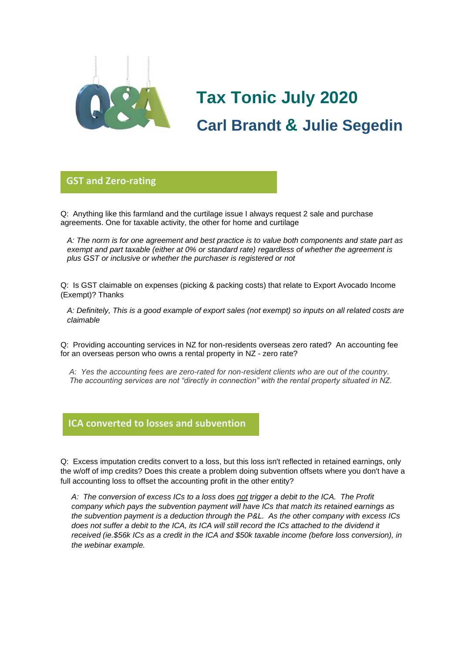

## **Tax Tonic July 2020 Carl Brandt & Julie Segedin**

## **GST and Zero-rating**

Q: Anything like this farmland and the curtilage issue I always request 2 sale and purchase **glorio**agreements. One for taxable activity, the other for home and curtilage

*A: The norm is for one agreement and best practice is to value both components and state part as exempt and part taxable (either at 0% or standard rate) regardless of whether the agreement is plus GST or inclusive or whether the purchaser is registered or not*

Q: Is GST claimable on expenses (picking & packing costs) that relate to Export Avocado Income (Exempt)? Thanks

*A: Definitely, This is a good example of export sales (not exempt) so inputs on all related costs are claimable*

Q: Providing accounting services in NZ for non-residents overseas zero rated? An accounting fee for an overseas person who owns a rental property in NZ - zero rate?

*A: Yes the accounting fees are zero-rated for non-resident clients who are out of the country. The accounting services are not "directly in connection" with the rental property situated in NZ.*

## **ICA converted to losses and subvention**

Q: Excess imputation credits convert to a loss, but this loss isn't reflected in retained earnings, only **Glorio** the w/off of imp credits? Does this create a problem doing subvention offsets where you don't have a full accounting loss to offset the accounting profit in the other entity?

*A: The conversion of excess ICs to a loss does not trigger a debit to the ICA. The Profit company which pays the subvention payment will have ICs that match its retained earnings as the subvention payment is a deduction through the P&L. As the other company with excess ICs does not suffer a debit to the ICA, its ICA will still record the ICs attached to the dividend it received (ie.\$56k ICs as a credit in the ICA and \$50k taxable income (before loss conversion), in the webinar example.*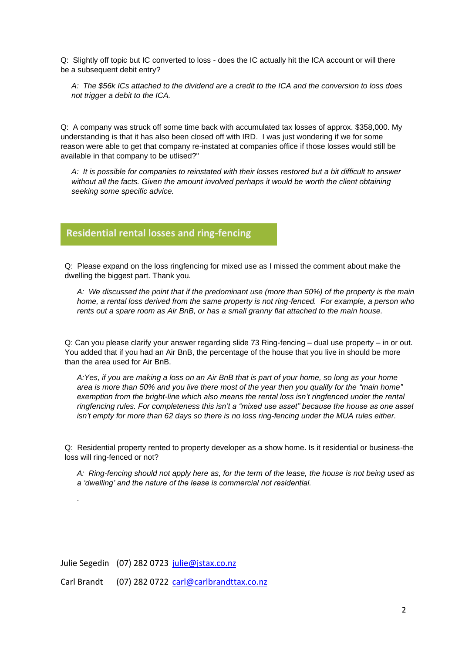Q: Slightly off topic but IC converted to loss - does the IC actually hit the ICA account or will there be a subsequent debit entry?

*A: The \$56k ICs attached to the dividend are a credit to the ICA and the conversion to loss does not trigger a debit to the ICA.*

Q: A company was struck off some time back with accumulated tax losses of approx. \$358,000. My understanding is that it has also been closed off with IRD. I was just wondering if we for some reason were able to get that company re-instated at companies office if those losses would still be available in that company to be utlised?"

*A: It is possible for companies to reinstated with their losses restored but a bit difficult to answer without all the facts. Given the amount involved perhaps it would be worth the client obtaining seeking some specific advice.*

## **Residential rental losses and ring-fencing**

Q: Please expand on the loss ringfencing for mixed use as I missed the comment about make the **glorio**dwelling the biggest part. Thank you.

*A: We discussed the point that if the predominant use (more than 50%) of the property is the main home, a rental loss derived from the same property is not ring-fenced. For example, a person who rents out a spare room as Air BnB, or has a small granny flat attached to the main house.*

Q: Can you please clarify your answer regarding slide 73 Ring-fencing – dual use property – in or out. You added that if you had an Air BnB, the percentage of the house that you live in should be more than the area used for Air BnB.

*A:Yes, if you are making a loss on an Air BnB that is part of your home, so long as your home area is more than 50% and you live there most of the year then you qualify for the "main home" exemption from the bright-line which also means the rental loss isn't ringfenced under the rental ringfencing rules. For completeness this isn't a "mixed use asset" because the house as one asset isn't empty for more than 62 days so there is no loss ring-fencing under the MUA rules either.*

Q: Residential property rented to property developer as a show home. Is it residential or business-the loss will ring-fenced or not?

*A: Ring-fencing should not apply here as, for the term of the lease, the house is not being used as a 'dwelling' and the nature of the lease is commercial not residential.*

Julie Segedin (07) 282 0723 [julie@jstax.co.nz](mailto:julie@jstax.co.nz)

*.* 

Carl Brandt (07) 282 0722 [carl@carlbrandttax.co.nz](mailto:carl@carlbrandttax.co.nz)